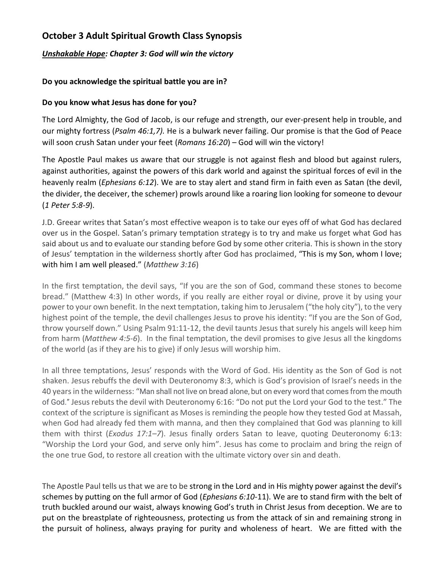# **October 3 Adult Spiritual Growth Class Synopsis**

## *Unshakable Hope: Chapter 3: God will win the victory*

## **Do you acknowledge the spiritual battle you are in?**

### **Do you know what Jesus has done for you?**

The Lord Almighty, the God of Jacob, is our refuge and strength, our ever-present help in trouble, and our mighty fortress (*Psalm 46:1,7).* He is a bulwark never failing. Our promise is that the God of Peace will soon crush Satan under your feet (*Romans 16:20*) – God will win the victory!

The Apostle Paul makes us aware that our struggle is not against flesh and blood but against rulers, against authorities, against the powers of this dark world and against the spiritual forces of evil in the heavenly realm (*Ephesians 6:12*). We are to stay alert and stand firm in faith even as Satan (the devil, the divider, the deceiver, the schemer) prowls around like a roaring lion looking for someone to devour (*1 Peter 5:8-9*).

J.D. Greear writes that Satan's most effective weapon is to take our eyes off of what God has declared over us in the Gospel. Satan's primary temptation strategy is to try and make us forget what God has said about us and to evaluate our standing before God by some other criteria. This is shown in the story of Jesus' temptation in the wilderness shortly after God has proclaimed, "This is my Son, whom I love; with him I am well pleased." (*Matthew 3:16*)

In the first temptation, the devil says, "If you are the son of God, command these stones to become bread." (Matthew 4:3) In other words, if you really are either royal or divine, prove it by using your power to your own benefit. In the next temptation, taking him to Jerusalem ("the holy city"), to the very highest point of the temple, the devil challenges Jesus to prove his identity: "If you are the Son of God, throw yourself down." Using Psalm 91:11-12, the devil taunts Jesus that surely his angels will keep him from harm (*Matthew 4:5-6*). In the final temptation, the devil promises to give Jesus all the kingdoms of the world (as if they are his to give) if only Jesus will worship him.

In all three temptations, Jesus' responds with the Word of God. His identity as the Son of God is not shaken. Jesus rebuffs the devil with Deuteronomy 8:3, which is God's provision of Israel's needs in the 40 years in the wilderness: "Man shall not live on bread alone, but on every word that comes from the mouth of God." Jesus rebuts the devil with Deuteronomy 6:16: "Do not put the Lord your God to the test." The context of the scripture is significant as Moses is reminding the people how they tested God at Massah, when God had already fed them with manna, and then they complained that God was planning to kill them with thirst (*Exodus 17:1–7*). Jesus finally orders Satan to leave, quoting Deuteronomy 6:13: "Worship the Lord your God, and serve only him". Jesus has come to proclaim and bring the reign of the one true God, to restore all creation with the ultimate victory over sin and death.

The Apostle Paul tells us that we are to be strong in the Lord and in His mighty power against the devil's schemes by putting on the full armor of God (*Ephesians 6:10*-11). We are to stand firm with the belt of truth buckled around our waist, always knowing God's truth in Christ Jesus from deception. We are to put on the breastplate of righteousness, protecting us from the attack of sin and remaining strong in the pursuit of holiness, always praying for purity and wholeness of heart. We are fitted with the